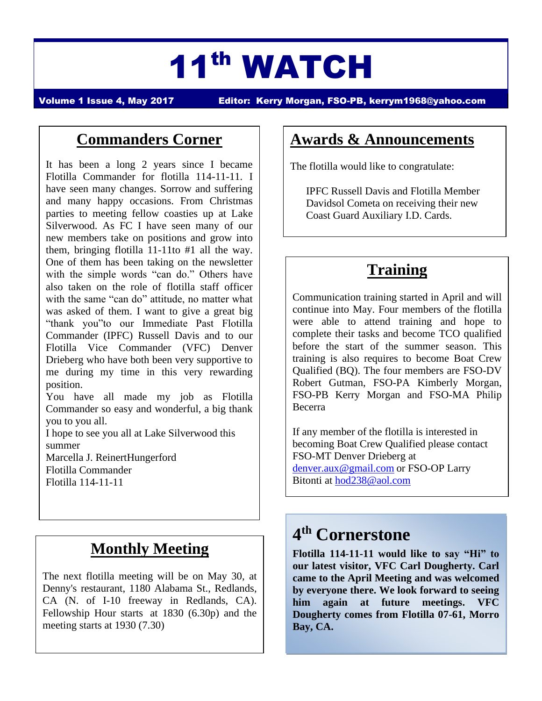# 11th WATCH

Volume 1 Issue 4, May 2017 Editor: Kerry Morgan, FSO-PB, [kerrym1968@yahoo.com](mailto:kerrym1968@yahoo.com)

#### **Commanders Corner**

It has been a long 2 years since I became Flotilla Commander for flotilla 114-11-11. I have seen many changes. Sorrow and suffering and many happy occasions. From Christmas parties to meeting fellow coasties up at Lake Silverwood. As FC I have seen many of our new members take on positions and grow into them, bringing flotilla 11-11to #1 all the way. One of them has been taking on the newsletter with the simple words "can do." Others have also taken on the role of flotilla staff officer with the same "can do" attitude, no matter what was asked of them. I want to give a great big "thank you"to our Immediate Past Flotilla Commander (IPFC) Russell Davis and to our Flotilla Vice Commander (VFC) Denver Drieberg who have both been very supportive to me during my time in this very rewarding position.

You have all made my job as Flotilla Commander so easy and wonderful, a big thank you to you all.

I hope to see you all at Lake Silverwood this summer

Marcella J. ReinertHungerford Flotilla Commander Flotilla 114-11-11

### **Monthly Meeting**

The next flotilla meeting will be on May 30, at Denny's restaurant, 1180 Alabama St., Redlands, CA (N. of I-10 freeway in Redlands, CA). Fellowship Hour starts at 1830 (6.30p) and the meeting starts at 1930 (7.30)

#### **Awards & Announcements**

The flotilla would like to congratulate:

IPFC Russell Davis and Flotilla Member Davidsol Cometa on receiving their new Coast Guard Auxiliary I.D. Cards.

# **Training**

Communication training started in April and will continue into May. Four members of the flotilla were able to attend training and hope to complete their tasks and become TCO qualified before the start of the summer season. This training is also requires to become Boat Crew Qualified (BQ). The four members are FSO-DV Robert Gutman, FSO-PA Kimberly Morgan, FSO-PB Kerry Morgan and FSO-MA Philip Becerra

If any member of the flotilla is interested in becoming Boat Crew Qualified please contact FSO-MT Denver Drieberg at [denver.aux@gmail.com](mailto:denver.aux@gmail.com) or FSO-OP Larry Bitonti at [hod238@aol.com](mailto:hod238@aol.com) 

# **4 th Cornerstone**

**Flotilla 114-11-11 would like to say "Hi" to our latest visitor, VFC Carl Dougherty. Carl came to the April Meeting and was welcomed by everyone there. We look forward to seeing him again at future meetings. VFC Dougherty comes from Flotilla 07-61, Morro Bay, CA.**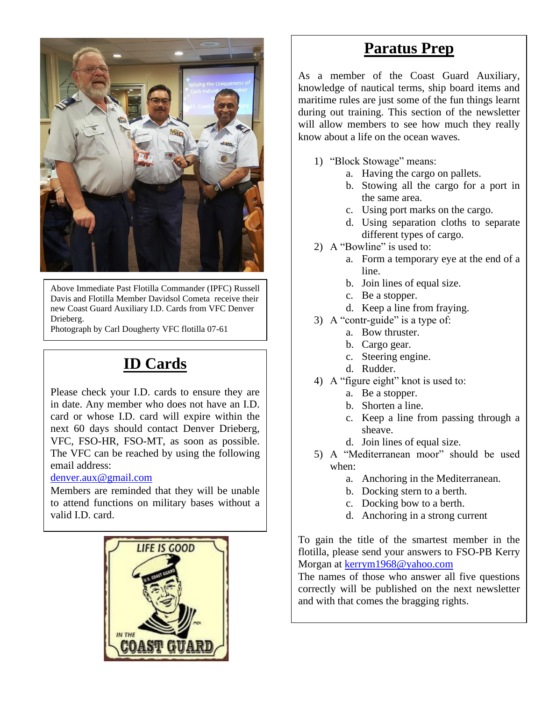

Above Immediate Past Flotilla Commander (IPFC) Russell Davis and Flotilla Member Davidsol Cometa receive their new Coast Guard Auxiliary I.D. Cards from VFC Denver Drieberg.

Photograph by Carl Dougherty VFC flotilla 07-61

# **ID Cards**

Please check your I.D. cards to ensure they are in date. Any member who does not have an I.D. card or whose I.D. card will expire within the next 60 days should contact Denver Drieberg, VFC, FSO-HR, FSO-MT, as soon as possible. The VFC can be reached by using the following email address:

#### [denver.aux@gmail.com](mailto:denver.aux@gmail.com)

Members are reminded that they will be unable to attend functions on military bases without a valid I.D. card.



#### **Paratus Prep**

As a member of the Coast Guard Auxiliary, knowledge of nautical terms, ship board items and maritime rules are just some of the fun things learnt during out training. This section of the newsletter will allow members to see how much they really know about a life on the ocean waves.

- 1) "Block Stowage" means:
	- a. Having the cargo on pallets.
	- b. Stowing all the cargo for a port in the same area.
	- c. Using port marks on the cargo.
	- d. Using separation cloths to separate different types of cargo.
- 2) A "Bowline" is used to:
	- a. Form a temporary eye at the end of a line.
		- b. Join lines of equal size.
		- c. Be a stopper.
	- d. Keep a line from fraying.
- 3) A "contr-guide" is a type of:
	- a. Bow thruster.
	- b. Cargo gear.
	- c. Steering engine.
	- d. Rudder.
- 4) A "figure eight" knot is used to:
	- a. Be a stopper.
	- b. Shorten a line.
	- c. Keep a line from passing through a sheave.
	- d. Join lines of equal size.
- 5) A "Mediterranean moor" should be used when:
	- a. Anchoring in the Mediterranean.
	- b. Docking stern to a berth.
	- c. Docking bow to a berth.
	- d. Anchoring in a strong current

To gain the title of the smartest member in the flotilla, please send your answers to FSO-PB Kerry Morgan at [kerrym1968@yahoo.com](mailto:kerrym1968@yahoo.com)

The names of those who answer all five questions correctly will be published on the next newsletter and with that comes the bragging rights.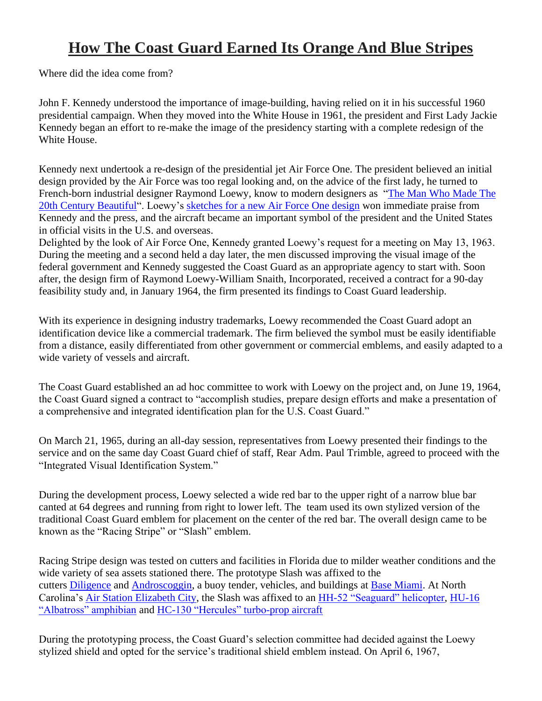#### **How The Coast Guard Earned Its Orange And Blue Stripes**

Where did the idea come from?

John F. Kennedy understood the importance of image-building, having relied on it in his successful 1960 presidential campaign. When they moved into the White House in 1961, the president and First Lady Jackie Kennedy began an effort to re-make the image of the presidency starting with a complete redesign of the White House.

Kennedy next undertook a re-design of the presidential jet Air Force One. The president believed an initial design provided by the Air Force was too regal looking and, on the advice of the first lady, he turned to French-born industrial designer Raymond Loewy, know to modern designers as ["The Man Who Made The](http://gizmodo.com/raymond-loewy-the-man-who-made-the-20th-century-beauti-1458724316)  [20th Century Beautiful"](http://gizmodo.com/raymond-loewy-the-man-who-made-the-20th-century-beauti-1458724316). Loewy's [sketches for a new Air Force One design](https://www.moma.org/collection/works/196025) won immediate praise from Kennedy and the press, and the aircraft became an important symbol of the president and the United States in official visits in the U.S. and overseas.

Delighted by the look of Air Force One, Kennedy granted Loewy's request for a meeting on May 13, 1963. During the meeting and a second held a day later, the men discussed improving the visual image of the federal government and Kennedy suggested the Coast Guard as an appropriate agency to start with. Soon after, the design firm of Raymond Loewy-William Snaith, Incorporated, received a contract for a 90-day feasibility study and, in January 1964, the firm presented its findings to Coast Guard leadership.

With its experience in designing industry trademarks, Loewy recommended the Coast Guard adopt an identification device like a commercial trademark. The firm believed the symbol must be easily identifiable from a distance, easily differentiated from other government or commercial emblems, and easily adapted to a wide variety of vessels and aircraft.

The Coast Guard established an ad hoc committee to work with Loewy on the project and, on June 19, 1964, the Coast Guard signed a contract to "accomplish studies, prepare design efforts and make a presentation of a comprehensive and integrated identification plan for the U.S. Coast Guard."

On March 21, 1965, during an all-day session, representatives from Loewy presented their findings to the service and on the same day Coast Guard chief of staff, Rear Adm. Paul Trimble, agreed to proceed with the "Integrated Visual Identification System."

During the development process, Loewy selected a wide red bar to the upper right of a narrow blue bar canted at 64 degrees and running from right to lower left. The team used its own stylized version of the traditional Coast Guard emblem for placement on the center of the red bar. The overall design came to be known as the "Racing Stripe" or "Slash" emblem.

Racing Stripe design was tested on cutters and facilities in Florida due to milder weather conditions and the wide variety of sea assets stationed there. The prototype Slash was affixed to the cutters [Diligence](https://www.uscg.mil/lantarea/cgcDiligence/) and [Androscoggin,](https://www.uscg.mil/history/webcutters/Androscoggin1946.pdf) a buoy tender, vehicles, and buildings at [Base Miami.](https://www.uscg.mil/BaseMiamiBeach/) At North Carolina's [Air Station Elizabeth City,](https://www.uscg.mil/d5/airstaelizabethcity/) the Slash was affixed to an [HH-52 "Seaguard" helicopter,](https://www.uscg.mil/history/aviation/Sikorsky/HH52/SikorskyHH52A.pdf) [HU-16](https://www.uscg.mil/history/aviation/Grumman/UF1G-HU16/Grumman_HU16.pdf)  ["Albatross" amphibian](https://www.uscg.mil/history/aviation/Grumman/UF1G-HU16/Grumman_HU16.pdf) and [HC-130 "Hercules" turbo-prop aircraft](https://www.uscg.mil/hq/cg7/cg711/c130h.asp)

During the prototyping process, the Coast Guard's selection committee had decided against the Loewy stylized shield and opted for the service's traditional shield emblem instead. On April 6, 1967,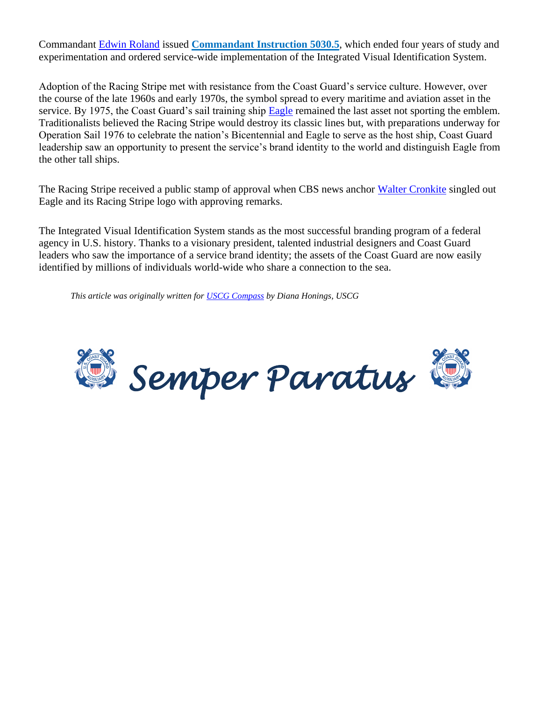Commandant [Edwin Roland](https://www.uscg.mil/history/people/EJRolandBio.asp) issued **[Commandant Instruction](https://www.uscg.mil/directives/cim.asp) 5030.5**, which ended four years of study and experimentation and ordered service-wide implementation of the Integrated Visual Identification System.

Adoption of the Racing Stripe met with resistance from the Coast Guard's service culture. However, over the course of the late 1960s and early 1970s, the symbol spread to every maritime and aviation asset in the service. By 1975, the Coast Guard's sail training ship [Eagle](https://www.uscg.mil/history/cutters/Eagles/Eagle1946.asp) remained the last asset not sporting the emblem. Traditionalists believed the Racing Stripe would destroy its classic lines but, with preparations underway for Operation Sail 1976 to celebrate the nation's Bicentennial and Eagle to serve as the host ship, Coast Guard leadership saw an opportunity to present the service's brand identity to the world and distinguish Eagle from the other tall ships.

The Racing Stripe received a public stamp of approval when CBS news anchor [Walter Cronkite](http://www.nshof.org/index.php?option=com_content&view=article&id=176:walter-cronkite-the-sailor-remembered-in-the-economist) singled out Eagle and its Racing Stripe logo with approving remarks.

The Integrated Visual Identification System stands as the most successful branding program of a federal agency in U.S. history. Thanks to a visionary president, talented industrial designers and Coast Guard leaders who saw the importance of a service brand identity; the assets of the Coast Guard are now easily identified by millions of individuals world-wide who share a connection to the sea.

*This article was originally written for [USCG Compass](http://coastguard.dodlive.mil/2017/04/the-long-blue-line-50th-anniversary-of-the-coast-guard-racing-stripe/) by Diana Honings, USCG*